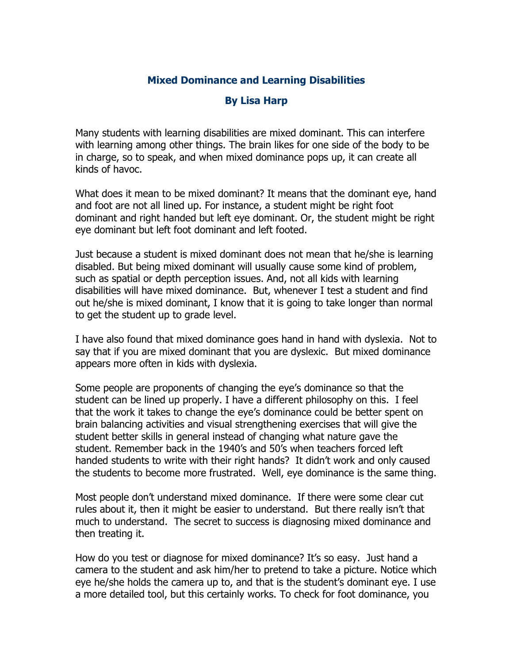## **Mixed Dominance and Learning Disabilities**

## **By Lisa Harp**

Many students with learning disabilities are mixed dominant. This can interfere with learning among other things. The brain likes for one side of the body to be in charge, so to speak, and when mixed dominance pops up, it can create all kinds of havoc.

What does it mean to be mixed dominant? It means that the dominant eye, hand and foot are not all lined up. For instance, a student might be right foot dominant and right handed but left eye dominant. Or, the student might be right eye dominant but left foot dominant and left footed.

Just because a student is mixed dominant does not mean that he/she is learning disabled. But being mixed dominant will usually cause some kind of problem, such as spatial or depth perception issues. And, not all kids with learning disabilities will have mixed dominance. But, whenever I test a student and find out he/she is mixed dominant, I know that it is going to take longer than normal to get the student up to grade level.

I have also found that mixed dominance goes hand in hand with dyslexia. Not to say that if you are mixed dominant that you are dyslexic. But mixed dominance appears more often in kids with dyslexia.

Some people are proponents of changing the eye's dominance so that the student can be lined up properly. I have a different philosophy on this. I feel that the work it takes to change the eye's dominance could be better spent on brain balancing activities and visual strengthening exercises that will give the student better skills in general instead of changing what nature gave the student. Remember back in the 1940's and 50's when teachers forced left handed students to write with their right hands? It didn't work and only caused the students to become more frustrated. Well, eye dominance is the same thing.

Most people don't understand mixed dominance. If there were some clear cut rules about it, then it might be easier to understand. But there really isn't that much to understand. The secret to success is diagnosing mixed dominance and then treating it.

How do you test or diagnose for mixed dominance? It's so easy. Just hand a camera to the student and ask him/her to pretend to take a picture. Notice which eye he/she holds the camera up to, and that is the student's dominant eye. I use a more detailed tool, but this certainly works. To check for foot dominance, you